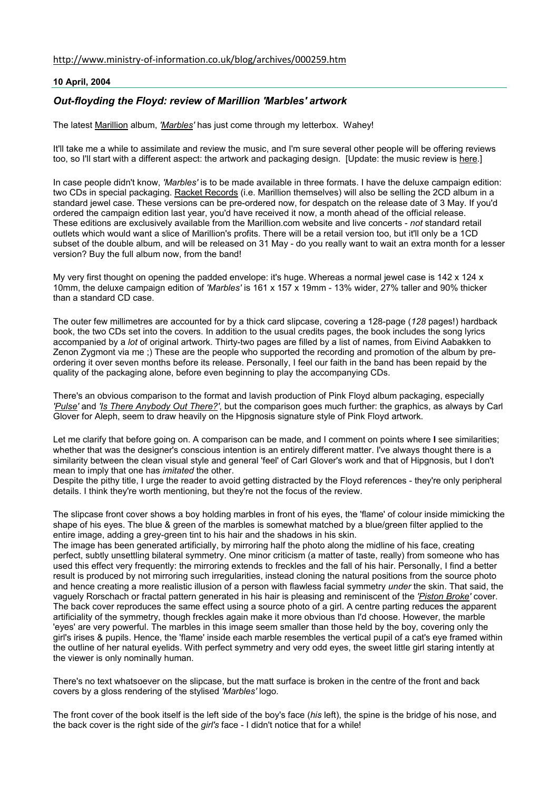## 10 April, 2004

## *Out-floyding the Floyd: review of Marillion 'Marbles' artwork*

The latest Marillion album, *'Marbles'* has just come through my letterbox. Wahey!

It'll take me a while to assimilate and review the music, and I'm sure several other people will be offering reviews too, so I'll start with a different aspect: the artwork and packaging design. [Update: the music review is here.]

In case people didn't know, *'Marbles'* is to be made available in three formats. I have the deluxe campaign edition: two CDs in special packaging. Racket Records (i.e. Marillion themselves) will also be selling the 2CD album in a standard jewel case. These versions can be pre-ordered now, for despatch on the release date of 3 May. If you'd ordered the campaign edition last year, you'd have received it now, a month ahead of the official release. These editions are exclusively available from the Marillion.com website and live concerts - *not* standard retail outlets which would want a slice of Marillion's profits. There will be a retail version too, but it'll only be a 1CD subset of the double album, and will be released on 31 May - do you really want to wait an extra month for a lesser version? Buy the full album now, from the band!

My very first thought on opening the padded envelope: it's huge. Whereas a normal jewel case is 142 x 124 x 10mm, the deluxe campaign edition of *'Marbles'* is 161 x 157 x 19mm - 13% wider, 27% taller and 90% thicker than a standard CD case.

The outer few millimetres are accounted for by a thick card slipcase, covering a 128-page (*128* pages!) hardback book, the two CDs set into the covers. In addition to the usual credits pages, the book includes the song lyrics accompanied by a *lot* of original artwork. Thirty-two pages are filled by a list of names, from Eivind Aabakken to Zenon Zygmont via me ;) These are the people who supported the recording and promotion of the album by preordering it over seven months before its release. Personally, I feel our faith in the band has been repaid by the quality of the packaging alone, before even beginning to play the accompanying CDs.

There's an obvious comparison to the format and lavish production of Pink Floyd album packaging, especially *'Pulse'* and *'Is There Anybody Out There?'*, but the comparison goes much further: the graphics, as always by Carl Glover for Aleph, seem to draw heavily on the Hipgnosis signature style of Pink Floyd artwork.

Let me clarify that before going on. A comparison can be made, and I comment on points where I see similarities; whether that was the designer's conscious intention is an entirely different matter. I've always thought there is a similarity between the clean visual style and general 'feel' of Carl Glover's work and that of Hipgnosis, but I don't mean to imply that one has *imitated* the other.

Despite the pithy title, I urge the reader to avoid getting distracted by the Floyd references - they're only peripheral details. I think they're worth mentioning, but they're not the focus of the review.

The slipcase front cover shows a boy holding marbles in front of his eyes, the 'flame' of colour inside mimicking the shape of his eyes. The blue & green of the marbles is somewhat matched by a blue/green filter applied to the entire image, adding a grey-green tint to his hair and the shadows in his skin.

The image has been generated artificially, by mirroring half the photo along the midline of his face, creating perfect, subtly unsettling bilateral symmetry. One minor criticism (a matter of taste, really) from someone who has used this effect very frequently: the mirroring extends to freckles and the fall of his hair. Personally, I find a better result is produced by not mirroring such irregularities, instead cloning the natural positions from the source photo and hence creating a more realistic illusion of a person with flawless facial symmetry *under* the skin. That said, the vaguely Rorschach or fractal pattern generated in his hair is pleasing and reminiscent of the *'Piston Broke'* cover. The back cover reproduces the same effect using a source photo of a girl. A centre parting reduces the apparent artificiality of the symmetry, though freckles again make it more obvious than I'd choose. However, the marble 'eyes' are very powerful. The marbles in this image seem smaller than those held by the boy, covering only the girl's irises & pupils. Hence, the 'flame' inside each marble resembles the vertical pupil of a cat's eye framed within the outline of her natural eyelids. With perfect symmetry and very odd eyes, the sweet little girl staring intently at the viewer is only nominally human.

There's no text whatsoever on the slipcase, but the matt surface is broken in the centre of the front and back covers by a gloss rendering of the stylised *'Marbles'* logo.

The front cover of the book itself is the left side of the boy's face (*his* left), the spine is the bridge of his nose, and the back cover is the right side of the *girl's* face - I didn't notice that for a while!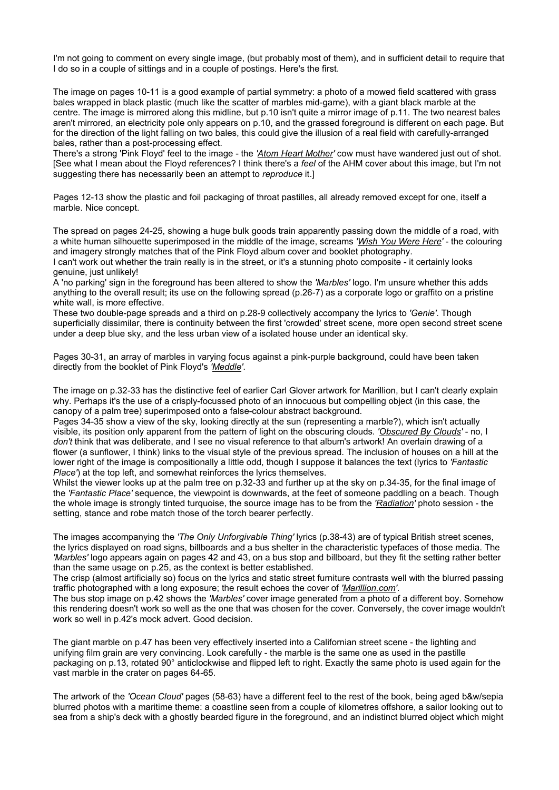I'm not going to comment on every single image, (but probably most of them), and in sufficient detail to require that I do so in a couple of sittings and in a couple of postings. Here's the first.

The image on pages 10-11 is a good example of partial symmetry: a photo of a mowed field scattered with grass bales wrapped in black plastic (much like the scatter of marbles mid-game), with a giant black marble at the centre. The image is mirrored along this midline, but p.10 isn't quite a mirror image of p.11. The two nearest bales aren't mirrored, an electricity pole only appears on p.10, and the grassed foreground is different on each page. But for the direction of the light falling on two bales, this could give the illusion of a real field with carefully-arranged bales, rather than a post-processing effect.

There's a strong 'Pink Floyd' feel to the image - the *'Atom Heart Mother'* cow must have wandered just out of shot. [See what I mean about the Floyd references? I think there's a *feel* of the AHM cover about this image, but I'm not suggesting there has necessarily been an attempt to *reproduce* it.]

Pages 12-13 show the plastic and foil packaging of throat pastilles, all already removed except for one, itself a marble. Nice concept.

The spread on pages 24-25, showing a huge bulk goods train apparently passing down the middle of a road, with a white human silhouette superimposed in the middle of the image, screams *'Wish You Were Here'* - the colouring and imagery strongly matches that of the Pink Floyd album cover and booklet photography.

I can't work out whether the train really is in the street, or it's a stunning photo composite - it certainly looks genuine, just unlikely!

A 'no parking' sign in the foreground has been altered to show the *'Marbles'* logo. I'm unsure whether this adds anything to the overall result; its use on the following spread (p.26-7) as a corporate logo or graffito on a pristine white wall, is more effective.

These two double-page spreads and a third on p.28-9 collectively accompany the lyrics to *'Genie'*. Though superficially dissimilar, there is continuity between the first 'crowded' street scene, more open second street scene under a deep blue sky, and the less urban view of a isolated house under an identical sky.

Pages 30-31, an array of marbles in varying focus against a pink-purple background, could have been taken directly from the booklet of Pink Floyd's *'Meddle'*.

The image on p.32-33 has the distinctive feel of earlier Carl Glover artwork for Marillion, but I can't clearly explain why. Perhaps it's the use of a crisply-focussed photo of an innocuous but compelling object (in this case, the canopy of a palm tree) superimposed onto a false-colour abstract background.

Pages 34-35 show a view of the sky, looking directly at the sun (representing a marble?), which isn't actually visible, its position only apparent from the pattern of light on the obscuring clouds. *'Obscured By Clouds'* - no, I *don't* think that was deliberate, and I see no visual reference to that album's artwork! An overlain drawing of a flower (a sunflower, I think) links to the visual style of the previous spread. The inclusion of houses on a hill at the lower right of the image is compositionally a little odd, though I suppose it balances the text (lyrics to *'Fantastic Place'*) at the top left, and somewhat reinforces the lyrics themselves.

Whilst the viewer looks up at the palm tree on p.32-33 and further up at the sky on p.34-35, for the final image of the *'Fantastic Place'* sequence, the viewpoint is downwards, at the feet of someone paddling on a beach. Though the whole image is strongly tinted turquoise, the source image has to be from the *'Radiation'* photo session - the setting, stance and robe match those of the torch bearer perfectly.

The images accompanying the *'The Only Unforgivable Thing'* lyrics (p.38-43) are of typical British street scenes, the lyrics displayed on road signs, billboards and a bus shelter in the characteristic typefaces of those media. The *'Marbles'* logo appears again on pages 42 and 43, on a bus stop and billboard, but they fit the setting rather better than the same usage on p.25, as the context is better established.

The crisp (almost artificially so) focus on the lyrics and static street furniture contrasts well with the blurred passing traffic photographed with a long exposure; the result echoes the cover of *'Marillion.com'*.

The bus stop image on p.42 shows the *'Marbles'* cover image generated from a photo of a different boy. Somehow this rendering doesn't work so well as the one that was chosen for the cover. Conversely, the cover image wouldn't work so well in p.42's mock advert. Good decision.

The giant marble on p.47 has been very effectively inserted into a Californian street scene - the lighting and unifying film grain are very convincing. Look carefully - the marble is the same one as used in the pastille packaging on p.13, rotated 90° anticlockwise and flipped left to right. Exactly the same photo is used again for the vast marble in the crater on pages 64-65.

The artwork of the *'Ocean Cloud'* pages (58-63) have a different feel to the rest of the book, being aged b&w/sepia blurred photos with a maritime theme: a coastline seen from a couple of kilometres offshore, a sailor looking out to sea from a ship's deck with a ghostly bearded figure in the foreground, and an indistinct blurred object which might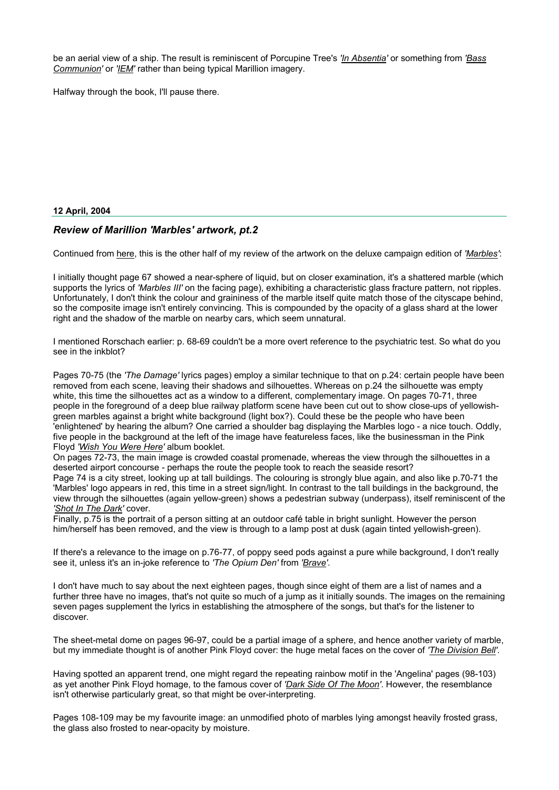be an aerial view of a ship. The result is reminiscent of Porcupine Tree's *'In Absentia'* or something from *'Bass Communion'* or *'IEM'* rather than being typical Marillion imagery.

Halfway through the book, I'll pause there.

## 12 April, 2004

## *Review of Marillion 'Marbles' artwork, pt.2*

Continued from here, this is the other half of my review of the artwork on the deluxe campaign edition of *'Marbles'*:

I initially thought page 67 showed a near-sphere of liquid, but on closer examination, it's a shattered marble (which supports the lyrics of *'Marbles III'* on the facing page), exhibiting a characteristic glass fracture pattern, not ripples. Unfortunately, I don't think the colour and graininess of the marble itself quite match those of the cityscape behind, so the composite image isn't entirely convincing. This is compounded by the opacity of a glass shard at the lower right and the shadow of the marble on nearby cars, which seem unnatural.

I mentioned Rorschach earlier: p. 68-69 couldn't be a more overt reference to the psychiatric test. So what do you see in the inkblot?

Pages 70-75 (the *'The Damage'* lyrics pages) employ a similar technique to that on p.24: certain people have been removed from each scene, leaving their shadows and silhouettes. Whereas on p.24 the silhouette was empty white, this time the silhouettes act as a window to a different, complementary image. On pages 70-71, three people in the foreground of a deep blue railway platform scene have been cut out to show close-ups of yellowishgreen marbles against a bright white background (light box?). Could these be the people who have been 'enlightened' by hearing the album? One carried a shoulder bag displaying the Marbles logo - a nice touch. Oddly, five people in the background at the left of the image have featureless faces, like the businessman in the Pink Floyd *'Wish You Were Here'* album booklet.

On pages 72-73, the main image is crowded coastal promenade, whereas the view through the silhouettes in a deserted airport concourse - perhaps the route the people took to reach the seaside resort? Page 74 is a city street, looking up at tall buildings. The colouring is strongly blue again, and also like p.70-71 the

'Marbles' logo appears in red, this time in a street sign/light. In contrast to the tall buildings in the background, the view through the silhouettes (again yellow-green) shows a pedestrian subway (underpass), itself reminiscent of the *'Shot In The Dark'* cover.

Finally, p.75 is the portrait of a person sitting at an outdoor café table in bright sunlight. However the person him/herself has been removed, and the view is through to a lamp post at dusk (again tinted yellowish-green).

If there's a relevance to the image on p.76-77, of poppy seed pods against a pure while background, I don't really see it, unless it's an in-joke reference to *'The Opium Den'* from *'Brave'*.

I don't have much to say about the next eighteen pages, though since eight of them are a list of names and a further three have no images, that's not quite so much of a jump as it initially sounds. The images on the remaining seven pages supplement the lyrics in establishing the atmosphere of the songs, but that's for the listener to discover.

The sheet-metal dome on pages 96-97, could be a partial image of a sphere, and hence another variety of marble, but my immediate thought is of another Pink Floyd cover: the huge metal faces on the cover of *'The Division Bell'*.

Having spotted an apparent trend, one might regard the repeating rainbow motif in the 'Angelina' pages (98-103) as yet another Pink Floyd homage, to the famous cover of *'Dark Side Of The Moon'*. However, the resemblance isn't otherwise particularly great, so that might be over-interpreting.

Pages 108-109 may be my favourite image: an unmodified photo of marbles lying amongst heavily frosted grass, the glass also frosted to near-opacity by moisture.